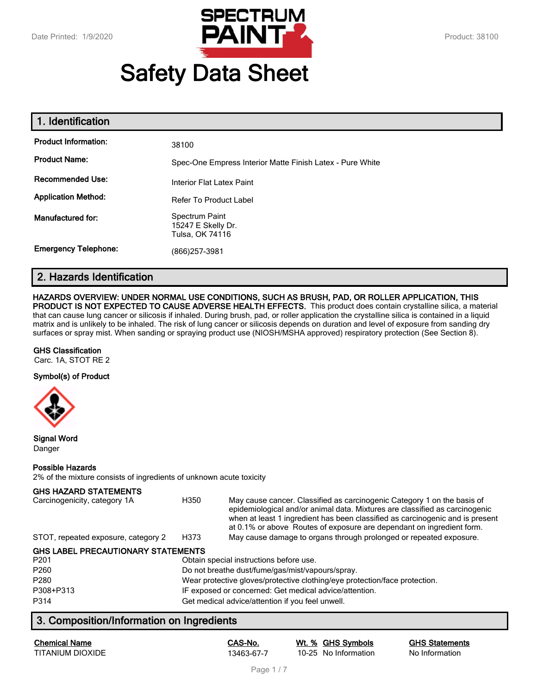

# **Safety Data Sheet**

| 1. Identification           |                                                           |
|-----------------------------|-----------------------------------------------------------|
| <b>Product Information:</b> | 38100                                                     |
| <b>Product Name:</b>        | Spec-One Empress Interior Matte Finish Latex - Pure White |
| <b>Recommended Use:</b>     | Interior Flat Latex Paint                                 |
| <b>Application Method:</b>  | <b>Refer To Product Label</b>                             |
| Manufactured for:           | Spectrum Paint<br>15247 E Skelly Dr.<br>Tulsa, OK 74116   |
| <b>Emergency Telephone:</b> | (866)257-3981                                             |

# **2. Hazards Identification**

#### **HAZARDS OVERVIEW: UNDER NORMAL USE CONDITIONS, SUCH AS BRUSH, PAD, OR ROLLER APPLICATION, THIS**

**PRODUCT IS NOT EXPECTED TO CAUSE ADVERSE HEALTH EFFECTS.** This product does contain crystalline silica, a material that can cause lung cancer or silicosis if inhaled. During brush, pad, or roller application the crystalline silica is contained in a liquid matrix and is unlikely to be inhaled. The risk of lung cancer or silicosis depends on duration and level of exposure from sanding dry surfaces or spray mist. When sanding or spraying product use (NIOSH/MSHA approved) respiratory protection (See Section 8).

#### **GHS Classification**

Carc. 1A, STOT RE 2

#### **Symbol(s) of Product**



**Signal Word** Danger

#### **Possible Hazards**

2% of the mixture consists of ingredients of unknown acute toxicity

#### **GHS HAZARD STATEMENTS**

| Carcinogenicity, category 1A        | H350 | May cause cancer. Classified as carcinogenic Category 1 on the basis of<br>epidemiological and/or animal data. Mixtures are classified as carcinogenic<br>when at least 1 ingredient has been classified as carcinogenic and is present<br>at 0.1% or above Routes of exposure are dependant on ingredient form. |
|-------------------------------------|------|------------------------------------------------------------------------------------------------------------------------------------------------------------------------------------------------------------------------------------------------------------------------------------------------------------------|
| STOT, repeated exposure, category 2 | H373 | May cause damage to organs through prolonged or repeated exposure.                                                                                                                                                                                                                                               |

#### **GHS LABEL PRECAUTIONARY STATEMENTS**

| P <sub>201</sub> | Obtain special instructions before use.                                    |
|------------------|----------------------------------------------------------------------------|
| P <sub>260</sub> | Do not breathe dust/fume/gas/mist/vapours/spray.                           |
| P <sub>280</sub> | Wear protective gloves/protective clothing/eye protection/face protection. |
| P308+P313        | IF exposed or concerned: Get medical advice/attention.                     |
| P314             | Get medical advice/attention if you feel unwell.                           |

# **3. Composition/Information on Ingredients**

| <b>Chemical Name</b> |  |
|----------------------|--|
| TITANIUM DIOXIDE     |  |

**Chemical Name CAS-No. Wt. % GHS Symbols GHS Statements** 13463-67-7 10-25 No Information No Information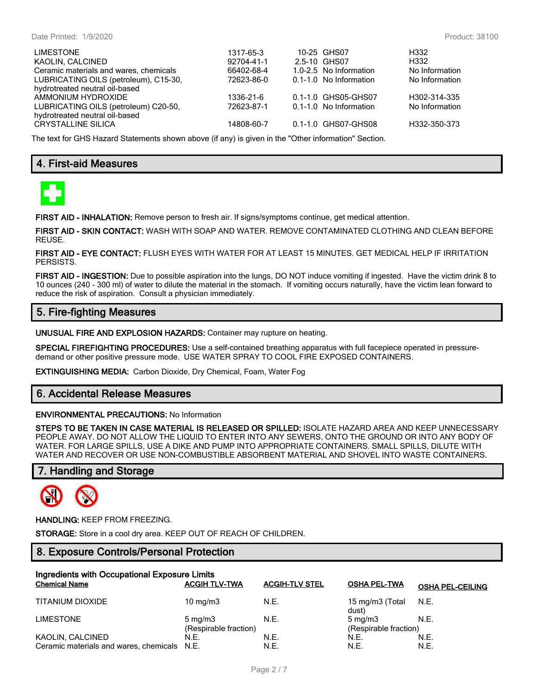| <b>LIMESTONE</b><br>KAOLIN, CALCINED<br>Ceramic materials and wares, chemicals<br>LUBRICATING OILS (petroleum), C15-30,<br>hydrotreated neutral oil-based | 1317-65-3<br>92704-41-1<br>66402-68-4<br>72623-86-0 | 10-25 GHS07<br>2.5-10 GHS07<br>1.0-2.5 No Information<br>0.1-1.0 No Information | H332<br>H332<br>No Information<br>No Information |
|-----------------------------------------------------------------------------------------------------------------------------------------------------------|-----------------------------------------------------|---------------------------------------------------------------------------------|--------------------------------------------------|
| AMMONIUM HYDROXIDE<br>LUBRICATING OILS (petroleum) C20-50,<br>hydrotreated neutral oil-based<br><b>CRYSTALLINE SILICA</b>                                 | 1336-21-6<br>72623-87-1<br>14808-60-7               | 0.1-1.0 GHS05-GHS07<br>0.1-1.0 No Information<br>0.1-1.0 GHS07-GHS08            | H302-314-335<br>No Information<br>H332-350-373   |

The text for GHS Hazard Statements shown above (if any) is given in the "Other information" Section.

# **4. First-aid Measures**



**FIRST AID - INHALATION:** Remove person to fresh air. If signs/symptoms continue, get medical attention.

**FIRST AID - SKIN CONTACT:** WASH WITH SOAP AND WATER. REMOVE CONTAMINATED CLOTHING AND CLEAN BEFORE REUSE.

**FIRST AID - EYE CONTACT:** FLUSH EYES WITH WATER FOR AT LEAST 15 MINUTES. GET MEDICAL HELP IF IRRITATION PERSISTS.

**FIRST AID - INGESTION:** Due to possible aspiration into the lungs, DO NOT induce vomiting if ingested. Have the victim drink 8 to 10 ounces (240 - 300 ml) of water to dilute the material in the stomach. If vomiting occurs naturally, have the victim lean forward to reduce the risk of aspiration. Consult a physician immediately.

# **5. Fire-fighting Measures**

**UNUSUAL FIRE AND EXPLOSION HAZARDS:** Container may rupture on heating.

**SPECIAL FIREFIGHTING PROCEDURES:** Use a self-contained breathing apparatus with full facepiece operated in pressuredemand or other positive pressure mode. USE WATER SPRAY TO COOL FIRE EXPOSED CONTAINERS.

**EXTINGUISHING MEDIA:** Carbon Dioxide, Dry Chemical, Foam, Water Fog

# **6. Accidental Release Measures**

#### **ENVIRONMENTAL PRECAUTIONS:** No Information

**STEPS TO BE TAKEN IN CASE MATERIAL IS RELEASED OR SPILLED:** ISOLATE HAZARD AREA AND KEEP UNNECESSARY PEOPLE AWAY. DO NOT ALLOW THE LIQUID TO ENTER INTO ANY SEWERS, ONTO THE GROUND OR INTO ANY BODY OF WATER. FOR LARGE SPILLS, USE A DIKE AND PUMP INTO APPROPRIATE CONTAINERS. SMALL SPILLS, DILUTE WITH WATER AND RECOVER OR USE NON-COMBUSTIBLE ABSORBENT MATERIAL AND SHOVEL INTO WASTE CONTAINERS.

#### **7. Handling and Storage**



#### **HANDLING:** KEEP FROM FREEZING.

**STORAGE:** Store in a cool dry area. KEEP OUT OF REACH OF CHILDREN.

# **8. Exposure Controls/Personal Protection**

| Ingredients with Occupational Exposure Limits<br><b>Chemical Name</b> | <b>ACGIH TLV-TWA</b>                      | <b>ACGIH-TLV STEL</b> | <b>OSHA PEL-TWA</b>                         | <b>OSHA PEL-CEILING</b> |
|-----------------------------------------------------------------------|-------------------------------------------|-----------------------|---------------------------------------------|-------------------------|
| TITANIUM DIOXIDE                                                      | 10 $mq/m3$                                | N.E.                  | 15 mg/m3 (Total N.E.<br>dust)               |                         |
| <b>LIMESTONE</b>                                                      | $5 \text{ mg/m}$<br>(Respirable fraction) | N.E.                  | $5 \text{ ma/m}$ 3<br>(Respirable fraction) | N.E.                    |
| KAOLIN, CALCINED                                                      | N.E.                                      | N.E.                  | N.E.                                        | N.E.                    |
| Ceramic materials and wares, chemicals N.E.                           |                                           | N.E.                  | N.E.                                        | N.E.                    |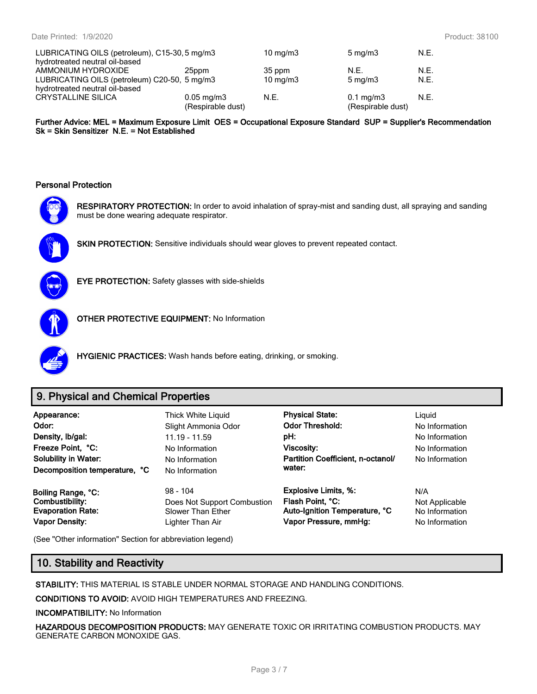| LUBRICATING OILS (petroleum), C15-30, 5 mg/m3 | 10 $mq/m3$             | $5 \text{ mg/m}$  | N.E.               |      |
|-----------------------------------------------|------------------------|-------------------|--------------------|------|
| hydrotreated neutral oil-based                |                        |                   |                    |      |
| AMMONIUM HYDROXIDE                            | 25ppm                  | 35 ppm            | N.F.               | N.E. |
| LUBRICATING OILS (petroleum) C20-50, 5 mg/m3  |                        | $10 \text{ mg/m}$ | $5 \text{ mg/m}$   | N.E. |
| hydrotreated neutral oil-based                |                        |                   |                    |      |
| <b>CRYSTALLINE SILICA</b>                     | $0.05 \,\mathrm{mg/m}$ | N.E.              | $0.1 \text{ mg/m}$ | N.E. |
|                                               | (Respirable dust)      |                   | (Respirable dust)  |      |

**Further Advice: MEL = Maximum Exposure Limit OES = Occupational Exposure Standard SUP = Supplier's Recommendation Sk = Skin Sensitizer N.E. = Not Established**

#### **Personal Protection**



**RESPIRATORY PROTECTION:** In order to avoid inhalation of spray-mist and sanding dust, all spraying and sanding must be done wearing adequate respirator.



**SKIN PROTECTION:** Sensitive individuals should wear gloves to prevent repeated contact.



**EYE PROTECTION:** Safety glasses with side-shields



**OTHER PROTECTIVE EQUIPMENT:** No Information



**HYGIENIC PRACTICES:** Wash hands before eating, drinking, or smoking.

# **9. Physical and Chemical Properties**

| Appearance:<br>Odor:<br>Density, Ib/gal:<br>Freeze Point, °C:<br><b>Solubility in Water:</b><br>Decomposition temperature, °C | Thick White Liquid<br>Slight Ammonia Odor<br>$11.19 - 11.59$<br>No Information<br>No Information<br>No Information | <b>Physical State:</b><br><b>Odor Threshold:</b><br>pH:<br>Viscosity:<br>Partition Coefficient, n-octanol/<br>water: | Liguid<br>No Information<br>No Information<br>No Information<br>No Information |
|-------------------------------------------------------------------------------------------------------------------------------|--------------------------------------------------------------------------------------------------------------------|----------------------------------------------------------------------------------------------------------------------|--------------------------------------------------------------------------------|
| Boiling Range, °C:                                                                                                            | $98 - 104$                                                                                                         | <b>Explosive Limits, %:</b>                                                                                          | N/A                                                                            |
| <b>Combustibility:</b>                                                                                                        | Does Not Support Combustion                                                                                        | Flash Point, °C:                                                                                                     | Not Applicable                                                                 |
| <b>Evaporation Rate:</b>                                                                                                      | Slower Than Ether                                                                                                  | Auto-Ignition Temperature, °C                                                                                        | No Information                                                                 |
| <b>Vapor Density:</b>                                                                                                         | Lighter Than Air                                                                                                   | Vapor Pressure, mmHg:                                                                                                | No Information                                                                 |

(See "Other information" Section for abbreviation legend)

# **10. Stability and Reactivity**

**STABILITY:** THIS MATERIAL IS STABLE UNDER NORMAL STORAGE AND HANDLING CONDITIONS.

**CONDITIONS TO AVOID:** AVOID HIGH TEMPERATURES AND FREEZING.

**INCOMPATIBILITY:** No Information

**HAZARDOUS DECOMPOSITION PRODUCTS:** MAY GENERATE TOXIC OR IRRITATING COMBUSTION PRODUCTS. MAY GENERATE CARBON MONOXIDE GAS.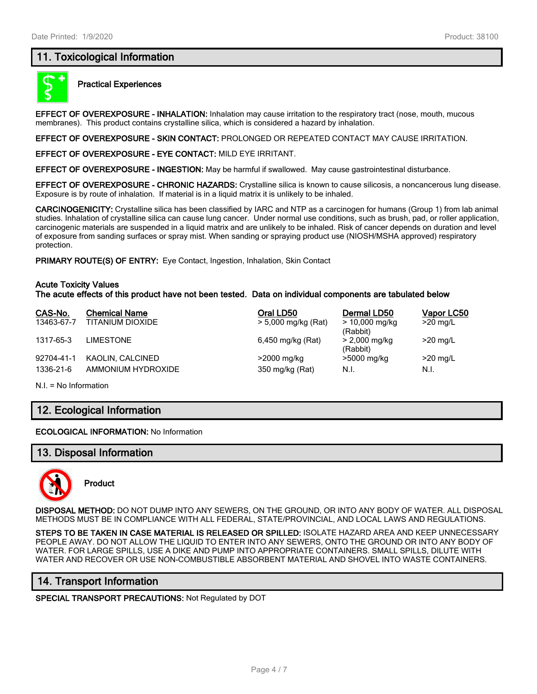# **11. Toxicological Information**



#### **Practical Experiences**

**EFFECT OF OVEREXPOSURE - INHALATION:** Inhalation may cause irritation to the respiratory tract (nose, mouth, mucous membranes). This product contains crystalline silica, which is considered a hazard by inhalation.

**EFFECT OF OVEREXPOSURE - SKIN CONTACT:** PROLONGED OR REPEATED CONTACT MAY CAUSE IRRITATION.

**EFFECT OF OVEREXPOSURE - EYE CONTACT:** MILD EYE IRRITANT.

**EFFECT OF OVEREXPOSURE - INGESTION:** May be harmful if swallowed. May cause gastrointestinal disturbance.

**EFFECT OF OVEREXPOSURE - CHRONIC HAZARDS:** Crystalline silica is known to cause silicosis, a noncancerous lung disease. Exposure is by route of inhalation. If material is in a liquid matrix it is unlikely to be inhaled.

**CARCINOGENICITY:** Crystalline silica has been classified by IARC and NTP as a carcinogen for humans (Group 1) from lab animal studies. Inhalation of crystalline silica can cause lung cancer. Under normal use conditions, such as brush, pad, or roller application, carcinogenic materials are suspended in a liquid matrix and are unlikely to be inhaled. Risk of cancer depends on duration and level of exposure from sanding surfaces or spray mist. When sanding or spraying product use (NIOSH/MSHA approved) respiratory protection.

**PRIMARY ROUTE(S) OF ENTRY:** Eye Contact, Ingestion, Inhalation, Skin Contact

#### **Acute Toxicity Values**

**The acute effects of this product have not been tested. Data on individual components are tabulated below**

| CAS-No.    | <b>Chemical Name</b> | Oral LD50           | Dermal LD50                  | Vapor LC50 |
|------------|----------------------|---------------------|------------------------------|------------|
| 13463-67-7 | TITANIUM DIOXIDE     | > 5,000 mg/kg (Rat) | $> 10,000$ mg/kg<br>(Rabbit) | $>20$ mg/L |
| 1317-65-3  | LIMESTONE            | 6,450 mg/kg (Rat)   | > 2,000 mg/kg<br>(Rabbit)    | $>20$ mg/L |
| 92704-41-1 | KAOLIN, CALCINED     | >2000 mg/kg         | >5000 mg/kg                  | $>20$ mg/L |
| 1336-21-6  | AMMONIUM HYDROXIDE   | 350 mg/kg (Rat)     | N.I.                         | N.I.       |

N.I. = No Information

# **12. Ecological Information**

**ECOLOGICAL INFORMATION:** No Information

#### **13. Disposal Information**



**Product**

**DISPOSAL METHOD:** DO NOT DUMP INTO ANY SEWERS, ON THE GROUND, OR INTO ANY BODY OF WATER. ALL DISPOSAL METHODS MUST BE IN COMPLIANCE WITH ALL FEDERAL, STATE/PROVINCIAL, AND LOCAL LAWS AND REGULATIONS.

**STEPS TO BE TAKEN IN CASE MATERIAL IS RELEASED OR SPILLED:** ISOLATE HAZARD AREA AND KEEP UNNECESSARY PEOPLE AWAY. DO NOT ALLOW THE LIQUID TO ENTER INTO ANY SEWERS, ONTO THE GROUND OR INTO ANY BODY OF WATER. FOR LARGE SPILLS, USE A DIKE AND PUMP INTO APPROPRIATE CONTAINERS. SMALL SPILLS, DILUTE WITH WATER AND RECOVER OR USE NON-COMBUSTIBLE ABSORBENT MATERIAL AND SHOVEL INTO WASTE CONTAINERS.

## **14. Transport Information**

**SPECIAL TRANSPORT PRECAUTIONS:** Not Regulated by DOT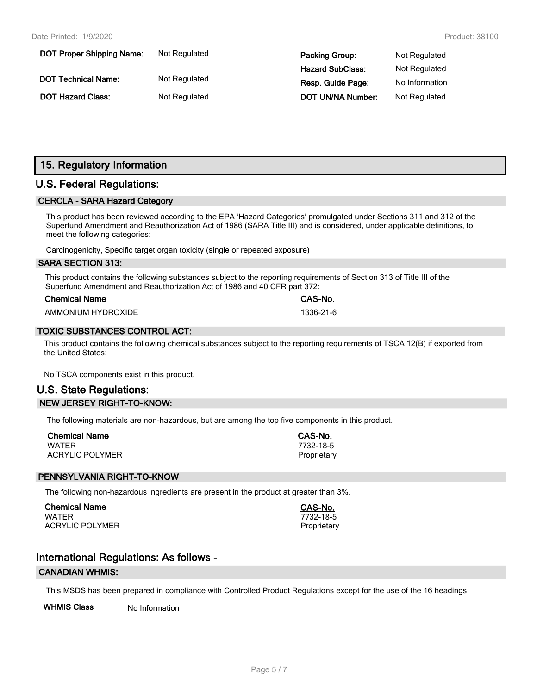| <b>DOT Proper Shipping Name:</b> | Not Regulated | <b>Packing Group:</b>    | Not Regulated  |
|----------------------------------|---------------|--------------------------|----------------|
|                                  |               | <b>Hazard SubClass:</b>  | Not Regulated  |
| <b>DOT Technical Name:</b>       | Not Regulated | Resp. Guide Page:        | No Information |
| <b>DOT Hazard Class:</b>         | Not Regulated | <b>DOT UN/NA Number:</b> | Not Regulated  |

# **15. Regulatory Information**

# **U.S. Federal Regulations:**

#### **CERCLA - SARA Hazard Category**

This product has been reviewed according to the EPA 'Hazard Categories' promulgated under Sections 311 and 312 of the Superfund Amendment and Reauthorization Act of 1986 (SARA Title III) and is considered, under applicable definitions, to meet the following categories:

Carcinogenicity, Specific target organ toxicity (single or repeated exposure)

#### **SARA SECTION 313:**

This product contains the following substances subject to the reporting requirements of Section 313 of Title III of the Superfund Amendment and Reauthorization Act of 1986 and 40 CFR part 372:

| <b>Chemical Name</b> |  |
|----------------------|--|
|                      |  |

AMMONIUM HYDROXIDE 1336-21-6

#### **TOXIC SUBSTANCES CONTROL ACT:**

This product contains the following chemical substances subject to the reporting requirements of TSCA 12(B) if exported from the United States:

No TSCA components exist in this product.

# **U.S. State Regulations: NEW JERSEY RIGHT-TO-KNOW:**

The following materials are non-hazardous, but are among the top five components in this product.

| <b>Chemical Name</b>   | CAS-No.     |
|------------------------|-------------|
| WATER                  | 7732-18-5   |
| <b>ACRYLIC POLYMER</b> | Proprietary |

#### **PENNSYLVANIA RIGHT-TO-KNOW**

The following non-hazardous ingredients are present in the product at greater than 3%.

**Chemical Name CAS-No.** WATER 7732-18-5 ACRYLIC POLYMER **Proprietary** Proprietary

**Chemical Name CAS-No.**

# **International Regulations: As follows -**

#### **CANADIAN WHMIS:**

This MSDS has been prepared in compliance with Controlled Product Regulations except for the use of the 16 headings.

**WHMIS Class** No Information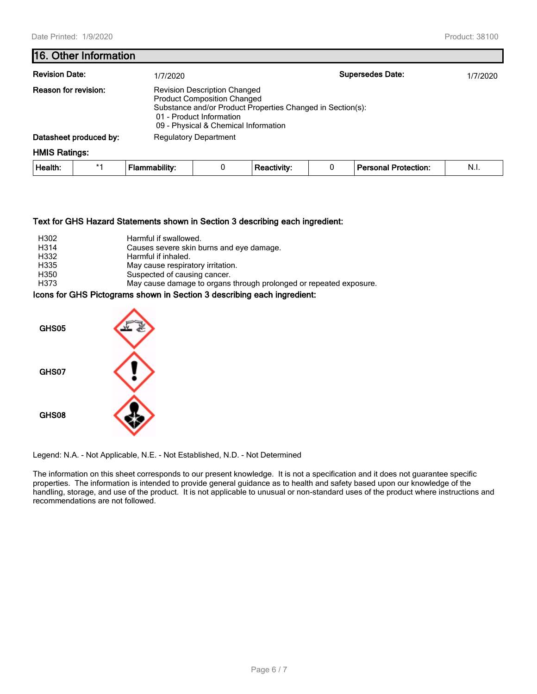## **16. Other Information**

| <b>Revision Date:</b>  |      | 1/7/2020                     |                                                                                                                                                                                                             |                    |  | <b>Supersedes Date:</b>     | 1/7/2020 |  |
|------------------------|------|------------------------------|-------------------------------------------------------------------------------------------------------------------------------------------------------------------------------------------------------------|--------------------|--|-----------------------------|----------|--|
| Reason for revision:   |      |                              | <b>Revision Description Changed</b><br><b>Product Composition Changed</b><br>Substance and/or Product Properties Changed in Section(s):<br>01 - Product Information<br>09 - Physical & Chemical Information |                    |  |                             |          |  |
| Datasheet produced by: |      | <b>Regulatory Department</b> |                                                                                                                                                                                                             |                    |  |                             |          |  |
| <b>HMIS Ratings:</b>   |      |                              |                                                                                                                                                                                                             |                    |  |                             |          |  |
| Health:                | $*1$ | <b>Flammability:</b>         | 0                                                                                                                                                                                                           | <b>Reactivity:</b> |  | <b>Personal Protection:</b> | N.I.     |  |

#### **Text for GHS Hazard Statements shown in Section 3 describing each ingredient:**

| H302              | Harmful if swallowed.                                              |
|-------------------|--------------------------------------------------------------------|
| H <sub>3</sub> 14 | Causes severe skin burns and eye damage.                           |
| H332              | Harmful if inhaled.                                                |
| H335              | May cause respiratory irritation.                                  |
| H350              | Suspected of causing cancer.                                       |
| H373              | May cause damage to organs through prolonged or repeated exposure. |

### **Icons for GHS Pictograms shown in Section 3 describing each ingredient:**



Legend: N.A. - Not Applicable, N.E. - Not Established, N.D. - Not Determined

The information on this sheet corresponds to our present knowledge. It is not a specification and it does not guarantee specific properties. The information is intended to provide general guidance as to health and safety based upon our knowledge of the handling, storage, and use of the product. It is not applicable to unusual or non-standard uses of the product where instructions and recommendations are not followed.